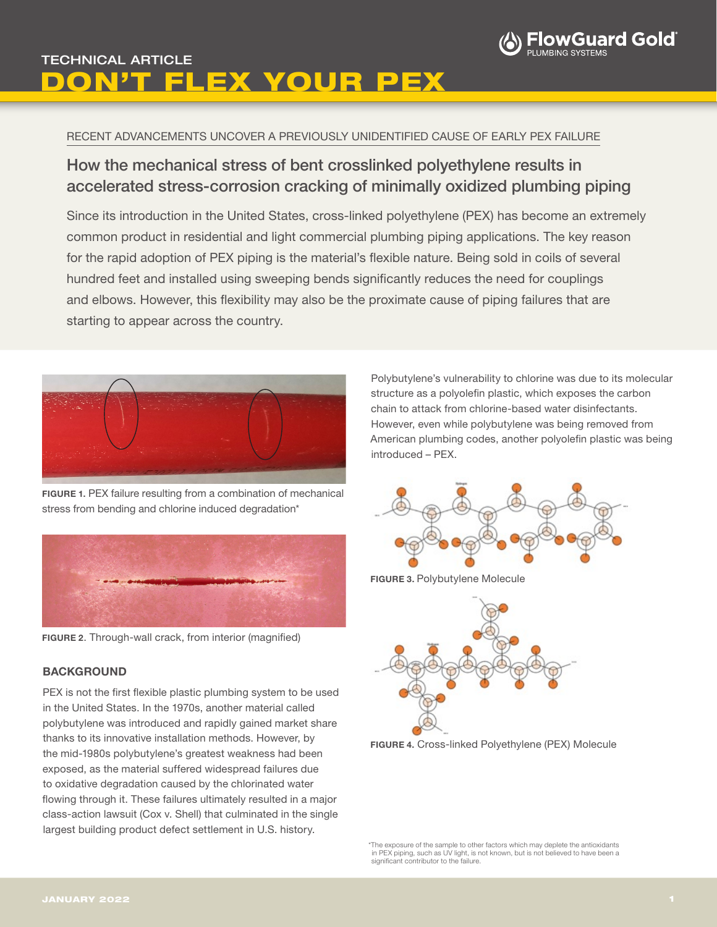# FLEX YOUR PEX TECHNICAL ARTICLE

### RECENT ADVANCEMENTS UNCOVER A PREVIOUSLY UNIDENTIFIED CAUSE OF EARLY PEX FAILURE

## How the mechanical stress of bent crosslinked polyethylene results in accelerated stress-corrosion cracking of minimally oxidized plumbing piping

Since its introduction in the United States, cross-linked polyethylene (PEX) has become an extremely common product in residential and light commercial plumbing piping applications. The key reason for the rapid adoption of PEX piping is the material's flexible nature. Being sold in coils of several hundred feet and installed using sweeping bends significantly reduces the need for couplings and elbows. However, this flexibility may also be the proximate cause of piping failures that are starting to appear across the country.



FIGURE 1. PEX failure resulting from a combination of mechanical stress from bending and chlorine induced degradation\*



FIGURE 2. Through-wall crack, from interior (magnified)

#### **BACKGROUND**

PEX is not the first flexible plastic plumbing system to be used in the United States. In the 1970s, another material called polybutylene was introduced and rapidly gained market share thanks to its innovative installation methods. However, by the mid-1980s polybutylene's greatest weakness had been exposed, as the material suffered widespread failures due to oxidative degradation caused by the chlorinated water flowing through it. These failures ultimately resulted in a major class-action lawsuit (Cox v. Shell) that culminated in the single largest building product defect settlement in U.S. history.

Polybutylene's vulnerability to chlorine was due to its molecular structure as a polyolefin plastic, which exposes the carbon chain to attack from chlorine-based water disinfectants. However, even while polybutylene was being removed from American plumbing codes, another polyolefin plastic was being introduced – PEX.

owGuard Gold



FIGURE 3. Polybutylene Molecule



FIGURE 4. Cross-linked Polyethylene (PEX) Molecule

\*The exposure of the sample to other factors which may deplete the antioxidants in PEX piping, such as UV light, is not known, but is not believed to have been a significant contributor to the failure.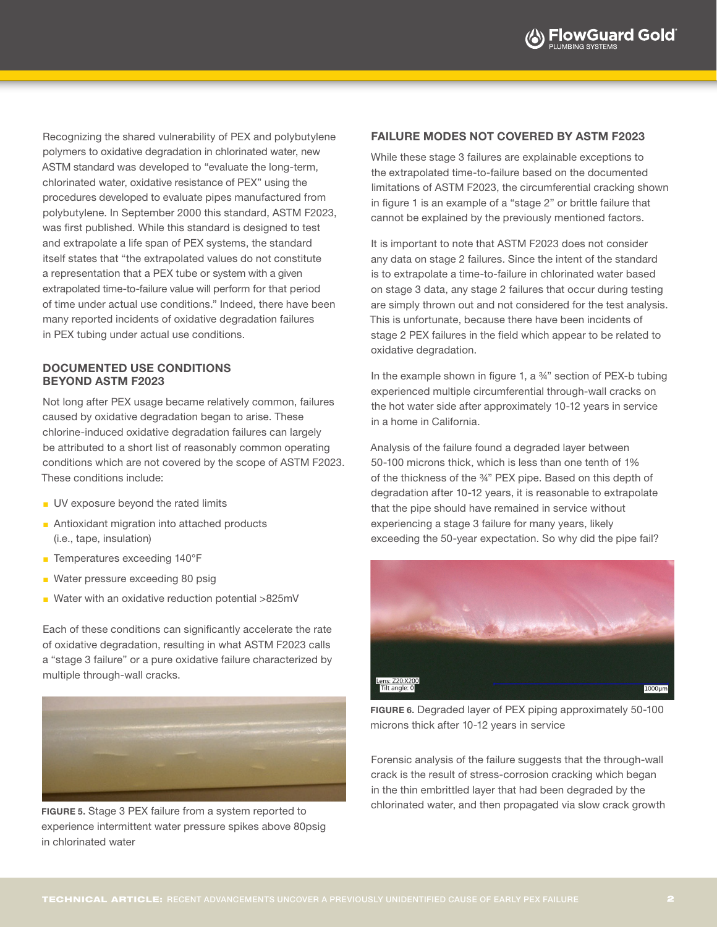Recognizing the shared vulnerability of PEX and polybutylene polymers to oxidative degradation in chlorinated water, new ASTM standard was developed to "evaluate the long-term, chlorinated water, oxidative resistance of PEX" using the procedures developed to evaluate pipes manufactured from polybutylene. In September 2000 this standard, ASTM F2023, was first published. While this standard is designed to test and extrapolate a life span of PEX systems, the standard itself states that "the extrapolated values do not constitute a representation that a PEX tube or system with a given extrapolated time-to-failure value will perform for that period of time under actual use conditions." Indeed, there have been many reported incidents of oxidative degradation failures in PEX tubing under actual use conditions.

#### DOCUMENTED USE CONDITIONS BEYOND ASTM F2023

Not long after PEX usage became relatively common, failures caused by oxidative degradation began to arise. These chlorine-induced oxidative degradation failures can largely be attributed to a short list of reasonably common operating conditions which are not covered by the scope of ASTM F2023. These conditions include:

- $\blacksquare$  UV exposure beyond the rated limits
- $\blacksquare$  Antioxidant migration into attached products (i.e., tape, insulation)
- Temperatures exceeding 140°F
- $\blacksquare$  Water pressure exceeding 80 psig
- Water with an oxidative reduction potential >825mV

Each of these conditions can significantly accelerate the rate of oxidative degradation, resulting in what ASTM F2023 calls a "stage 3 failure" or a pure oxidative failure characterized by multiple through-wall cracks.



FIGURE 5. Stage 3 PEX failure from a system reported to experience intermittent water pressure spikes above 80psig in chlorinated water

#### FAILURE MODES NOT COVERED BY ASTM F2023

While these stage 3 failures are explainable exceptions to the extrapolated time-to-failure based on the documented limitations of ASTM F2023, the circumferential cracking shown in figure 1 is an example of a "stage 2" or brittle failure that cannot be explained by the previously mentioned factors.

It is important to note that ASTM F2023 does not consider any data on stage 2 failures. Since the intent of the standard is to extrapolate a time-to-failure in chlorinated water based on stage 3 data, any stage 2 failures that occur during testing are simply thrown out and not considered for the test analysis. This is unfortunate, because there have been incidents of stage 2 PEX failures in the field which appear to be related to oxidative degradation.

In the example shown in figure 1, a 3<sup>4"</sup> section of PEX-b tubing experienced multiple circumferential through-wall cracks on the hot water side after approximately 10-12 years in service in a home in California.

Analysis of the failure found a degraded layer between 50-100 microns thick, which is less than one tenth of 1% of the thickness of the ¾" PEX pipe. Based on this depth of degradation after 10-12 years, it is reasonable to extrapolate that the pipe should have remained in service without experiencing a stage 3 failure for many years, likely exceeding the 50-year expectation. So why did the pipe fail?



FIGURE 6. Degraded layer of PEX piping approximately 50-100 microns thick after 10-12 years in service

Forensic analysis of the failure suggests that the through-wall crack is the result of stress-corrosion cracking which began in the thin embrittled layer that had been degraded by the chlorinated water, and then propagated via slow crack growth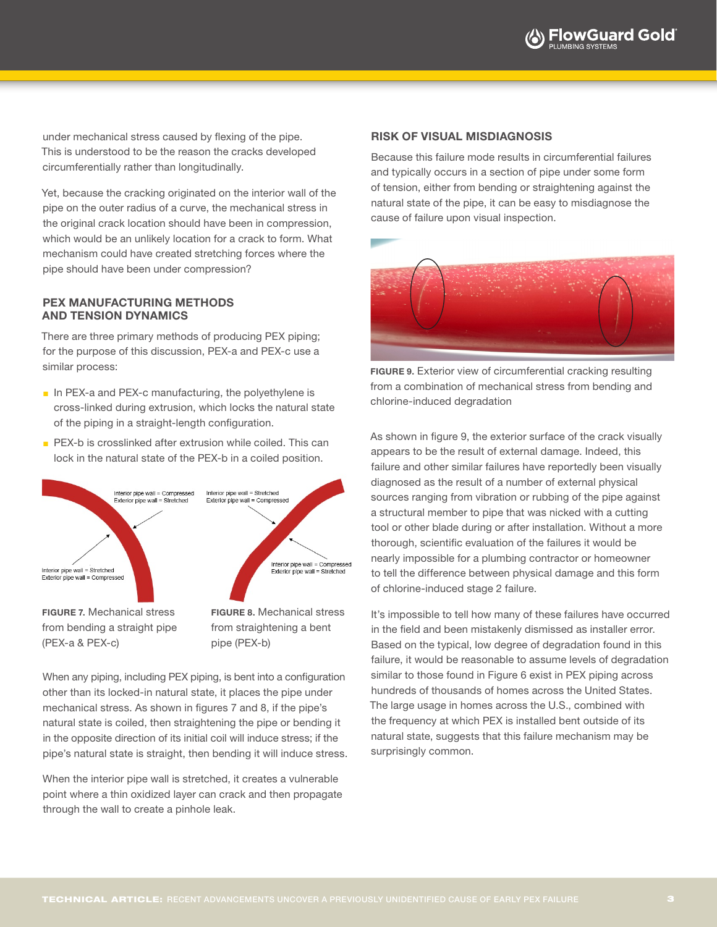under mechanical stress caused by flexing of the pipe. This is understood to be the reason the cracks developed circumferentially rather than longitudinally.

Yet, because the cracking originated on the interior wall of the pipe on the outer radius of a curve, the mechanical stress in the original crack location should have been in compression, which would be an unlikely location for a crack to form. What mechanism could have created stretching forces where the pipe should have been under compression?

#### PEX MANUFACTURING METHODS AND TENSION DYNAMICS

There are three primary methods of producing PEX piping; for the purpose of this discussion, PEX-a and PEX-c use a similar process:

- $\blacksquare$  In PEX-a and PEX-c manufacturing, the polyethylene is cross-linked during extrusion, which locks the natural state of the piping in a straight-length configuration.
- **PEX-b is crosslinked after extrusion while coiled. This can** lock in the natural state of the PEX-b in a coiled position.



When any piping, including PEX piping, is bent into a configuration other than its locked-in natural state, it places the pipe under mechanical stress. As shown in figures 7 and 8, if the pipe's natural state is coiled, then straightening the pipe or bending it in the opposite direction of its initial coil will induce stress; if the pipe's natural state is straight, then bending it will induce stress.

When the interior pipe wall is stretched, it creates a vulnerable point where a thin oxidized layer can crack and then propagate through the wall to create a pinhole leak.

#### RISK OF VISUAL MISDIAGNOSIS

Because this failure mode results in circumferential failures and typically occurs in a section of pipe under some form of tension, either from bending or straightening against the natural state of the pipe, it can be easy to misdiagnose the cause of failure upon visual inspection.



FIGURE 9. Exterior view of circumferential cracking resulting from a combination of mechanical stress from bending and chlorine-induced degradation

As shown in figure 9, the exterior surface of the crack visually appears to be the result of external damage. Indeed, this failure and other similar failures have reportedly been visually diagnosed as the result of a number of external physical sources ranging from vibration or rubbing of the pipe against a structural member to pipe that was nicked with a cutting tool or other blade during or after installation. Without a more thorough, scientific evaluation of the failures it would be nearly impossible for a plumbing contractor or homeowner to tell the difference between physical damage and this form of chlorine-induced stage 2 failure.

It's impossible to tell how many of these failures have occurred in the field and been mistakenly dismissed as installer error. Based on the typical, low degree of degradation found in this failure, it would be reasonable to assume levels of degradation similar to those found in Figure 6 exist in PEX piping across hundreds of thousands of homes across the United States. The large usage in homes across the U.S., combined with the frequency at which PEX is installed bent outside of its natural state, suggests that this failure mechanism may be surprisingly common.